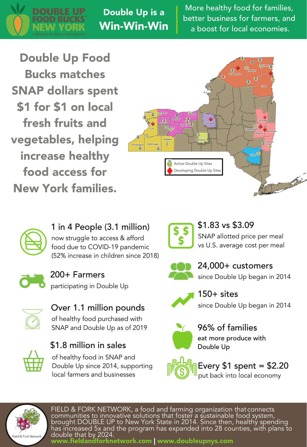

Double Up is a Win-Win-Win

More healthy food for families, better business for farmers, and a boost for local economies.

Double Up Food Bucks matches SNAP dollars spent \$1 for \$1 on local fresh fruits and vegetables, helping increase healthy food access for New York families.





1 in 4 People (3.1 million) now struggle to access & afford

food due to COVID-19 pandemic (52% increase in children since 2018)



200+ Farmers participating in Double Up



Over 1.1 million pounds of healthy food purchased with SNAP and Double Up as of 2019



\$1.8 million in sales of healthy food in SNAP and Double Up since 2014, supporting local farmers and businesses



\$1.83 vs \$3.09 SNAP allotted price per meal vs U.S. average cost per meal



24,000+ customers since Double Up began in 2014



 $150+$  sites since Double Up began in 2014



96% of families eat more produce with Double Up



Every  $$1$  spent =  $$2.20$ put back into local economy



FIELD & FORK NETWORK, a food and farming organization that connects communities to innovative solutions that foster a sustainable food system, brought DOUBLE UP to New York State in 2014. Since then, healthy spending has increased 5x and the program has expanded into 28 counties, with plans to double that by 2024. www.fieldandforknetwork.com | www.doubleupnys.com